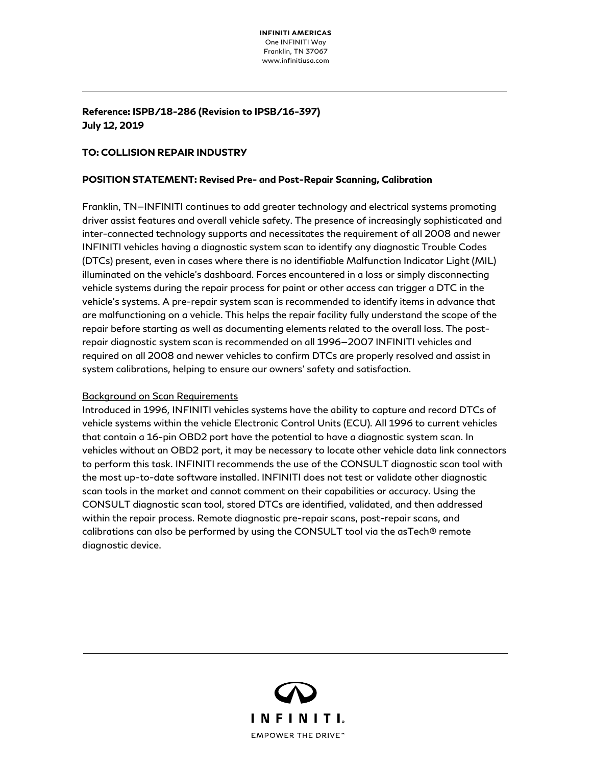# **Reference: ISPB/18-286 (Revision to IPSB/16-397) July 12, 2019**

### **TO: COLLISION REPAIR INDUSTRY**

#### **POSITION STATEMENT: Revised Pre- and Post-Repair Scanning, Calibration**

Franklin, TN—INFINITI continues to add greater technology and electrical systems promoting driver assist features and overall vehicle safety. The presence of increasingly sophisticated and inter-connected technology supports and necessitates the requirement of all 2008 and newer INFINITI vehicles having a diagnostic system scan to identify any diagnostic Trouble Codes (DTCs) present, even in cases where there is no identifiable Malfunction Indicator Light (MIL) illuminated on the vehicle's dashboard. Forces encountered in a loss or simply disconnecting vehicle systems during the repair process for paint or other access can trigger a DTC in the vehicle's systems. A pre-repair system scan is recommended to identify items in advance that are malfunctioning on a vehicle. This helps the repair facility fully understand the scope of the repair before starting as well as documenting elements related to the overall loss. The postrepair diagnostic system scan is recommended on all 1996—2007 INFINITI vehicles and required on all 2008 and newer vehicles to confirm DTCs are properly resolved and assist in system calibrations, helping to ensure our owners' safety and satisfaction.

## Background on Scan Requirements

Introduced in 1996, INFINITI vehicles systems have the ability to capture and record DTCs of vehicle systems within the vehicle Electronic Control Units (ECU). All 1996 to current vehicles that contain a 16-pin OBD2 port have the potential to have a diagnostic system scan. In vehicles without an OBD2 port, it may be necessary to locate other vehicle data link connectors to perform this task. INFINITI recommends the use of the CONSULT diagnostic scan tool with the most up-to-date software installed. INFINITI does not test or validate other diagnostic scan tools in the market and cannot comment on their capabilities or accuracy. Using the CONSULT diagnostic scan tool, stored DTCs are identified, validated, and then addressed within the repair process. Remote diagnostic pre-repair scans, post-repair scans, and calibrations can also be performed by using the CONSULT tool via the asTech® remote diagnostic device.